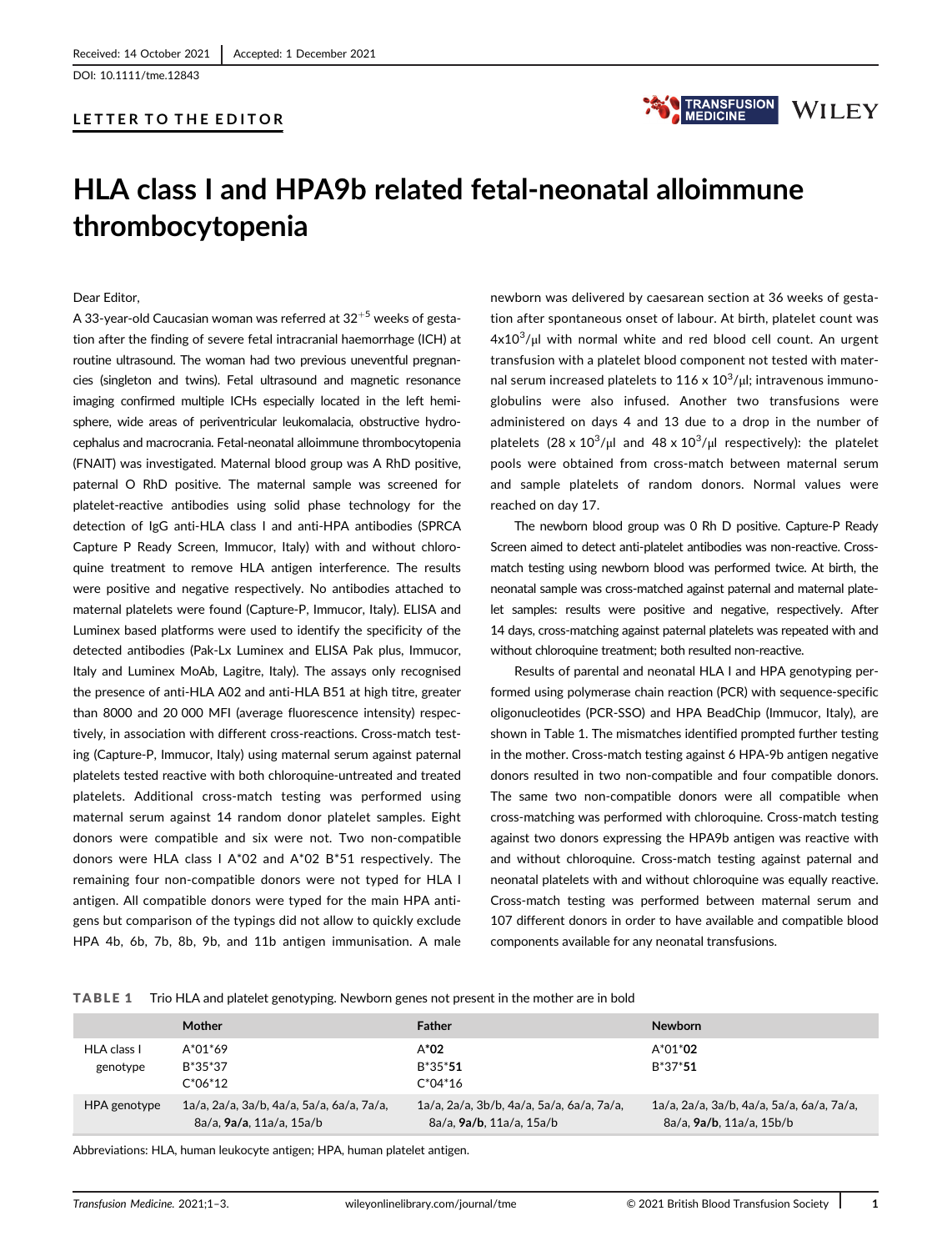DOI: 10.1111/tme.12843

## LETTER TO THE EDITOR



# HLA class I and HPA9b related fetal-neonatal alloimmune thrombocytopenia

Dear Editor,

A 33-year-old Caucasian woman was referred at  $32^{+5}$  weeks of gestation after the finding of severe fetal intracranial haemorrhage (ICH) at routine ultrasound. The woman had two previous uneventful pregnancies (singleton and twins). Fetal ultrasound and magnetic resonance imaging confirmed multiple ICHs especially located in the left hemisphere, wide areas of periventricular leukomalacia, obstructive hydrocephalus and macrocrania. Fetal-neonatal alloimmune thrombocytopenia (FNAIT) was investigated. Maternal blood group was A RhD positive, paternal O RhD positive. The maternal sample was screened for platelet-reactive antibodies using solid phase technology for the detection of IgG anti-HLA class I and anti-HPA antibodies (SPRCA Capture P Ready Screen, Immucor, Italy) with and without chloroquine treatment to remove HLA antigen interference. The results were positive and negative respectively. No antibodies attached to maternal platelets were found (Capture-P, Immucor, Italy). ELISA and Luminex based platforms were used to identify the specificity of the detected antibodies (Pak-Lx Luminex and ELISA Pak plus, Immucor, Italy and Luminex MoAb, Lagitre, Italy). The assays only recognised the presence of anti-HLA A02 and anti-HLA B51 at high titre, greater than 8000 and 20 000 MFI (average fluorescence intensity) respectively, in association with different cross-reactions. Cross-match testing (Capture-P, Immucor, Italy) using maternal serum against paternal platelets tested reactive with both chloroquine-untreated and treated platelets. Additional cross-match testing was performed using maternal serum against 14 random donor platelet samples. Eight donors were compatible and six were not. Two non-compatible donors were HLA class I A\*02 and A\*02 B\*51 respectively. The remaining four non-compatible donors were not typed for HLA I antigen. All compatible donors were typed for the main HPA antigens but comparison of the typings did not allow to quickly exclude HPA 4b, 6b, 7b, 8b, 9b, and 11b antigen immunisation. A male

newborn was delivered by caesarean section at 36 weeks of gestation after spontaneous onset of labour. At birth, platelet count was  $4x10^3/\mu$  with normal white and red blood cell count. An urgent transfusion with a platelet blood component not tested with maternal serum increased platelets to 116 x  $10^3/\mu$ l; intravenous immunoglobulins were also infused. Another two transfusions were administered on days 4 and 13 due to a drop in the number of platelets  $(28 \times 10^3/\mu)$  and  $48 \times 10^3/\mu$  respectively): the platelet pools were obtained from cross-match between maternal serum and sample platelets of random donors. Normal values were reached on day 17.

The newborn blood group was 0 Rh D positive. Capture-P Ready Screen aimed to detect anti-platelet antibodies was non-reactive. Crossmatch testing using newborn blood was performed twice. At birth, the neonatal sample was cross-matched against paternal and maternal platelet samples: results were positive and negative, respectively. After 14 days, cross-matching against paternal platelets was repeated with and without chloroquine treatment; both resulted non-reactive.

Results of parental and neonatal HLA I and HPA genotyping performed using polymerase chain reaction (PCR) with sequence-specific oligonucleotides (PCR-SSO) and HPA BeadChip (Immucor, Italy), are shown in Table 1. The mismatches identified prompted further testing in the mother. Cross-match testing against 6 HPA-9b antigen negative donors resulted in two non-compatible and four compatible donors. The same two non-compatible donors were all compatible when cross-matching was performed with chloroquine. Cross-match testing against two donors expressing the HPA9b antigen was reactive with and without chloroquine. Cross-match testing against paternal and neonatal platelets with and without chloroquine was equally reactive. Cross-match testing was performed between maternal serum and 107 different donors in order to have available and compatible blood components available for any neonatal transfusions.

TABLE 1 Trio HLA and platelet genotyping. Newborn genes not present in the mother are in bold

|                         | <b>Mother</b>                                                         | <b>Father</b>                                                         | <b>Newborn</b>                                                        |
|-------------------------|-----------------------------------------------------------------------|-----------------------------------------------------------------------|-----------------------------------------------------------------------|
| HLA class I<br>genotype | $A^*01^*69$<br>B*35*37<br>$C^*06^*12$                                 | $A^*02$<br>$B*35*51$<br>$C^*04^*16$                                   | $A^*01^*02$<br>$B*37*51$                                              |
| HPA genotype            | 1a/a, 2a/a, 3a/b, 4a/a, 5a/a, 6a/a, 7a/a,<br>8a/a, 9a/a, 11a/a, 15a/b | 1a/a, 2a/a, 3b/b, 4a/a, 5a/a, 6a/a, 7a/a,<br>8a/a, 9a/b, 11a/a, 15a/b | 1a/a, 2a/a, 3a/b, 4a/a, 5a/a, 6a/a, 7a/a,<br>8a/a, 9a/b, 11a/a, 15b/b |

Abbreviations: HLA, human leukocyte antigen; HPA, human platelet antigen.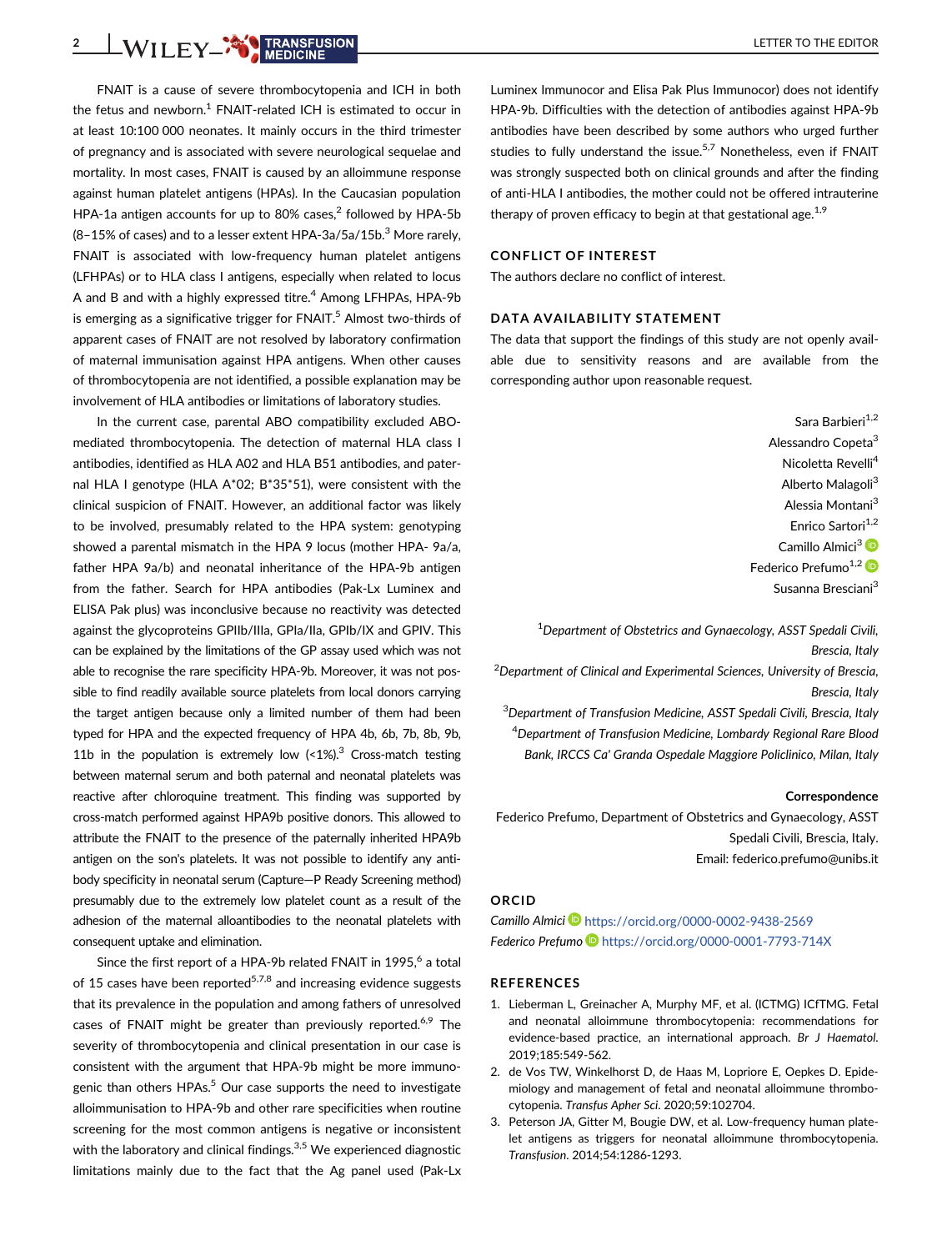2 WILEY CONSENSION

FNAIT is a cause of severe thrombocytopenia and ICH in both the fetus and newborn. $1$  FNAIT-related ICH is estimated to occur in at least 10:100 000 neonates. It mainly occurs in the third trimester of pregnancy and is associated with severe neurological sequelae and mortality. In most cases, FNAIT is caused by an alloimmune response against human platelet antigens (HPAs). In the Caucasian population HPA-1a antigen accounts for up to 80% cases, $<sup>2</sup>$  followed by HPA-5b</sup>  $(8-15\%$  of cases) and to a lesser extent HPA-3a/5a/15b.<sup>3</sup> More rarely, FNAIT is associated with low-frequency human platelet antigens (LFHPAs) or to HLA class I antigens, especially when related to locus A and B and with a highly expressed titre.<sup>4</sup> Among LFHPAs, HPA-9b is emerging as a significative trigger for  $FNAIT<sup>5</sup>$  Almost two-thirds of apparent cases of FNAIT are not resolved by laboratory confirmation of maternal immunisation against HPA antigens. When other causes of thrombocytopenia are not identified, a possible explanation may be involvement of HLA antibodies or limitations of laboratory studies.

In the current case, parental ABO compatibility excluded ABOmediated thrombocytopenia. The detection of maternal HLA class I antibodies, identified as HLA A02 and HLA B51 antibodies, and paternal HLA I genotype (HLA A\*02; B\*35\*51), were consistent with the clinical suspicion of FNAIT. However, an additional factor was likely to be involved, presumably related to the HPA system: genotyping showed a parental mismatch in the HPA 9 locus (mother HPA- 9a/a, father HPA 9a/b) and neonatal inheritance of the HPA-9b antigen from the father. Search for HPA antibodies (Pak-Lx Luminex and ELISA Pak plus) was inconclusive because no reactivity was detected against the glycoproteins GPIIb/IIIa, GPIa/IIa, GPIb/IX and GPIV. This can be explained by the limitations of the GP assay used which was not able to recognise the rare specificity HPA-9b. Moreover, it was not possible to find readily available source platelets from local donors carrying the target antigen because only a limited number of them had been typed for HPA and the expected frequency of HPA 4b, 6b, 7b, 8b, 9b, 11b in the population is extremely low  $\langle$ <1%).<sup>3</sup> Cross-match testing between maternal serum and both paternal and neonatal platelets was reactive after chloroquine treatment. This finding was supported by cross-match performed against HPA9b positive donors. This allowed to attribute the FNAIT to the presence of the paternally inherited HPA9b antigen on the son's platelets. It was not possible to identify any antibody specificity in neonatal serum (Capture—P Ready Screening method) presumably due to the extremely low platelet count as a result of the adhesion of the maternal alloantibodies to the neonatal platelets with consequent uptake and elimination.

Since the first report of a HPA-9b related FNAIT in 1995,<sup>6</sup> a total of 15 cases have been reported<sup>5,7,8</sup> and increasing evidence suggests that its prevalence in the population and among fathers of unresolved cases of FNAIT might be greater than previously reported.<sup>6,9</sup> The severity of thrombocytopenia and clinical presentation in our case is consistent with the argument that HPA-9b might be more immunogenic than others  $HPAs.<sup>5</sup>$  Our case supports the need to investigate alloimmunisation to HPA-9b and other rare specificities when routine screening for the most common antigens is negative or inconsistent with the laboratory and clinical findings. $3,5$  We experienced diagnostic limitations mainly due to the fact that the Ag panel used (Pak-Lx

Luminex Immunocor and Elisa Pak Plus Immunocor) does not identify HPA-9b. Difficulties with the detection of antibodies against HPA-9b antibodies have been described by some authors who urged further studies to fully understand the issue.<sup>5,7</sup> Nonetheless, even if FNAIT was strongly suspected both on clinical grounds and after the finding of anti-HLA I antibodies, the mother could not be offered intrauterine therapy of proven efficacy to begin at that gestational age. $1,9$ 

### CONFLICT OF INTEREST

The authors declare no conflict of interest.

## DATA AVAILABILITY STATEMENT

The data that support the findings of this study are not openly available due to sensitivity reasons and are available from the corresponding author upon reasonable request.

> Sara Barbieri<sup>1,2</sup> Alessandro Copeta<sup>3</sup> Nicoletta Revelli4 Alberto Malagoli<sup>3</sup> Alessia Montani<sup>3</sup> Enrico Sartori<sup>1,2</sup> Camillo Almici<sup>3</sup> Federico Prefumo $^{1,2}$ Susanna Bresciani<sup>3</sup>

<sup>1</sup>Department of Obstetrics and Gynaecology, ASST Spedali Civili, Brescia, Italy

<sup>2</sup>Department of Clinical and Experimental Sciences, University of Brescia, Brescia, Italy

<sup>3</sup>Department of Transfusion Medicine, ASST Spedali Civili, Brescia, Italy 4 Department of Transfusion Medicine, Lombardy Regional Rare Blood Bank, IRCCS Ca' Granda Ospedale Maggiore Policlinico, Milan, Italy

#### Correspondence

Federico Prefumo, Department of Obstetrics and Gynaecology, ASST Spedali Civili, Brescia, Italy. Email: [federico.prefumo@unibs.it](mailto:federico.prefumo@unibs.it)

#### ORCID

Camillo Almici <https://orcid.org/0000-0002-9438-2569> Federico Prefumo D<https://orcid.org/0000-0001-7793-714X>

#### REFERENCES

- 1. Lieberman L, Greinacher A, Murphy MF, et al. (ICTMG) ICfTMG. Fetal and neonatal alloimmune thrombocytopenia: recommendations for evidence-based practice, an international approach. Br J Haematol. 2019;185:549-562.
- 2. de Vos TW, Winkelhorst D, de Haas M, Lopriore E, Oepkes D. Epidemiology and management of fetal and neonatal alloimmune thrombocytopenia. Transfus Apher Sci. 2020;59:102704.
- 3. Peterson JA, Gitter M, Bougie DW, et al. Low-frequency human platelet antigens as triggers for neonatal alloimmune thrombocytopenia. Transfusion. 2014;54:1286-1293.